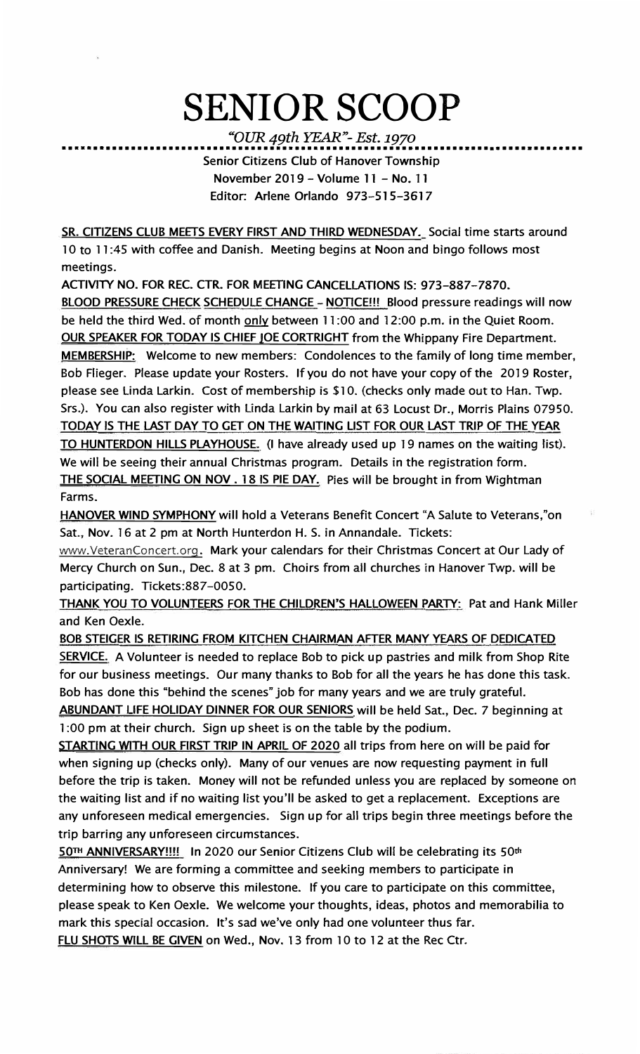## **SENIOR SCOOP**

*"OUR 49th YEAR"- Est. 1970* 

••••••••••••••••••••••••••••••••••••••••••••••••••••••••••••••••••••••••••••••••••• **Senior Citizens Club of Hanover Township November 2019 - Volume 11 - No. 11 Editor: Arlene Orlando 973-515-3617** 

**SR. CITIZENS CLUB MEETS EVERY FIRST AND THIRD WEDNESDAY. Social time starts around 10 to 11 :45 with coffee and Danish. Meeting begins at Noon and bingo follows most meetings.** 

**ACTIVITY NO. FOR REC. CTR. FOR MEETING CANCELLATIONS IS: 973-887-7870. BLOOD PRESSURE CHECK SCHEDULE CHANGE - NOTICE!!! Blood pressure readings will now** be held the third Wed. of month only between 11:00 and 12:00 p.m. in the Quiet Room. **OUR SPEAKER FOR TODAY IS CHIEF JOE CORTRIGHT** from the Whippany Fire Department. **MEMBERSHIP: Welcome to new members: Condolences to the family of long time member, Bob Flieger. Please update your Rosters. If you do not have your copy of the 2019 Roster, please see Linda Larkin. Cost of membership is \$10. (checks only made out to Han. Twp. Srs.). You can also register with Linda Larkin by mail at 63 Locust Dr., Morris Plains 07950. TODAY IS THE LAST DAY TO GET ON THE WAITING LIST FOR OUR LAST TRIP OF THE YEAR TO HUNTERDON HILLS PLAYHOUSE. (I have already used up 19 names on the waiting list). We will be seeing their annual Christmas program. Details in the registration form. THE SOCIAL MEETING ON NOV. 18 IS PIE DAY. Pies will be brought in from Wightman Farms.** 

**HANOVER WIND SYMPHONY will hold a Veterans Benefit Concert "A Salute to Veterans,"on Sat., Nov. 16 at 2 pm at North Hunterdon H. S. in Annandale. Tickets:** 

**www.VeteranConcert.org. Mark your calendars for their Christmas Concert at Our Lady of Mercy Church on Sun., Dec. 8 at 3 pm. Choirs from all churches in Hanover Twp. will be participating. Tickets:887-0050.** 

**THANK YOU TO VOLUNTEERS FOR THE CHILDREN'S HALLOWEEN PARTY: Pat and Hank Miller and Ken Oexle.** 

**BOB STEIGER IS RETIRING FROM KITCHEN CHAIRMAN AFTER MANY YEARS OF DEDICATED SERVICE. A Volunteer is needed to replace Bob to pick up pastries and milk from Shop Rite for our business meetings. Our many thanks to Bob for all the years he has done this task. Bob has done this "behind the scenes" job for many years and we are truly grateful. ABUNDANT LIFE HOLIDAY DINNER FOR OUR SENIORS will be held Sat., Dec. 7 beginning at 1 :00 pm at their church. Sign up sheet is on the table by the podium.** 

**STARTING WITH OUR FIRST TRIP IN APRIL OF 2020 all trips from here on will be paid for when signing up (checks only). Many of our venues are now requesting payment in full before the trip is taken. Money will not be refunded unless you are replaced by someone on the waiting list and if no waiting list you'll be asked to get a replacement. Exceptions are any unforeseen medical emergencies. Sign up for all trips begin three meetings before the trip barring any unforeseen circumstances.** 

**50™ ANNIVERSARY!!!! In 2020 our Senior Citizens Club will be celebrating its 50th Anniversary! We are forming a committee and seeking members to participate in determining how to observe this milestone. If you care to participate on this committee, please speak to Ken Oexle. We welcome your thoughts, ideas, photos and memorabilia to mark this special occasion. It's sad we've only had one volunteer thus far.** 

FLU SHOTS WILL BE GIVEN on Wed., Nov. 13 from 10 to 12 at the Rec Ctr.